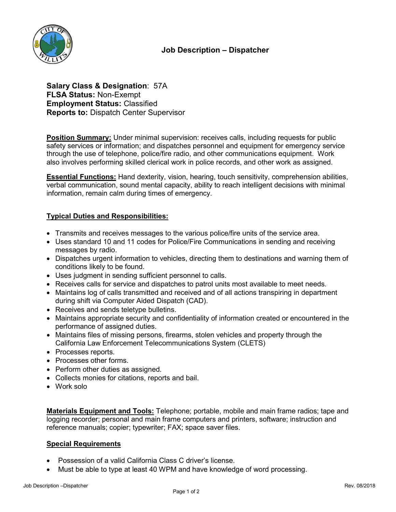

**Salary Class & Designation**: 57A **FLSA Status:** Non-Exempt **Employment Status:** Classified **Reports to:** Dispatch Center Supervisor

**Position Summary:** Under minimal supervision: receives calls, including requests for public safety services or information; and dispatches personnel and equipment for emergency service through the use of telephone, police/fire radio, and other communications equipment. Work also involves performing skilled clerical work in police records, and other work as assigned.

**Essential Functions:** Hand dexterity, vision, hearing, touch sensitivity, comprehension abilities, verbal communication, sound mental capacity, ability to reach intelligent decisions with minimal information, remain calm during times of emergency.

## **Typical Duties and Responsibilities:**

- Transmits and receives messages to the various police/fire units of the service area.
- Uses standard 10 and 11 codes for Police/Fire Communications in sending and receiving messages by radio.
- Dispatches urgent information to vehicles, directing them to destinations and warning them of conditions likely to be found.
- Uses judgment in sending sufficient personnel to calls.
- Receives calls for service and dispatches to patrol units most available to meet needs.
- Maintains log of calls transmitted and received and of all actions transpiring in department during shift via Computer Aided Dispatch (CAD).
- Receives and sends teletype bulletins.
- Maintains appropriate security and confidentiality of information created or encountered in the performance of assigned duties.
- Maintains files of missing persons, firearms, stolen vehicles and property through the California Law Enforcement Telecommunications System (CLETS)
- Processes reports.
- Processes other forms.
- Perform other duties as assigned.
- Collects monies for citations, reports and bail.
- Work solo

**Materials Equipment and Tools:** Telephone; portable, mobile and main frame radios; tape and logging recorder; personal and main frame computers and printers, software; instruction and reference manuals; copier; typewriter; FAX; space saver files.

### **Special Requirements**

- Possession of a valid California Class C driver's license.
- Must be able to type at least 40 WPM and have knowledge of word processing.